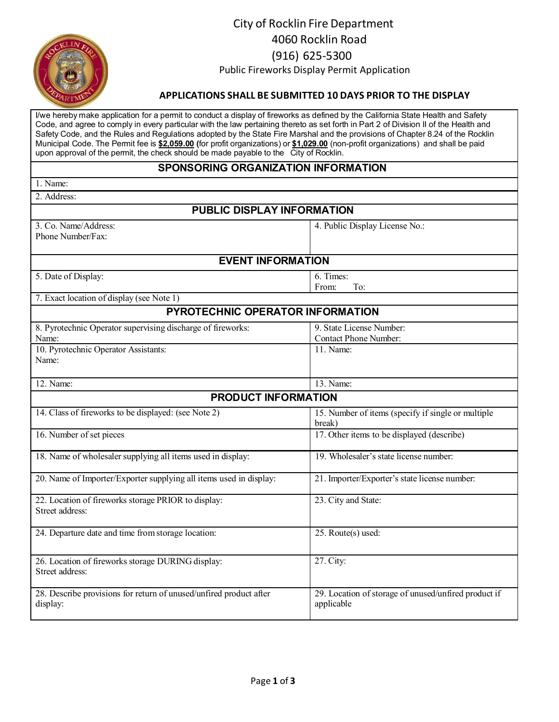

# City of Rocklin Fire Department 4060 Rocklin Road (916) 625‐5300 Public Fireworks Display Permit Application

### **APPLICATIONS SHALL BE SUBMITTED 10 DAYS PRIOR TO THE DISPLAY**

I/we hereby make application for a permit to conduct a display of fireworks as defined by the California State Health and Safety Code, and agree to comply in every particular with the law pertaining thereto as set forth in Part 2 of Division II of the Health and Safety Code, and the Rules and Regulations adopted by the State Fire Marshal and the provisions of Chapter 8.24 of the Rocklin Municipal Code. The Permit fee is **\$2,059.00 (**for profit organizations) or **\$1,029.00** (non-profit organizations) and shall be paid upon approval of the permit, the check should be made payable to the City of Rocklin.

### **SPONSORING ORGANIZATION INFORMATION**

| SPUNSURING URGANIZA I IUN INFURMA I IUN                                                                               |                                                                       |  |  |  |
|-----------------------------------------------------------------------------------------------------------------------|-----------------------------------------------------------------------|--|--|--|
| 1. Name:                                                                                                              |                                                                       |  |  |  |
| 2. Address:                                                                                                           |                                                                       |  |  |  |
| PUBLIC DISPLAY INFORMATION                                                                                            |                                                                       |  |  |  |
| 3. Co. Name/Address:<br>Phone Number/Fax:                                                                             | 4. Public Display License No.:                                        |  |  |  |
| <b>EVENT INFORMATION</b>                                                                                              |                                                                       |  |  |  |
| 5. Date of Display:                                                                                                   | 6. Times:<br>To:<br>From:                                             |  |  |  |
| 7. Exact location of display (see Note 1)                                                                             |                                                                       |  |  |  |
| PYROTECHNIC OPERATOR INFORMATION                                                                                      |                                                                       |  |  |  |
| 8. Pyrotechnic Operator supervising discharge of fireworks:<br>Name:<br>10. Pyrotechnic Operator Assistants:<br>Name: | 9. State License Number:<br><b>Contact Phone Number:</b><br>11. Name: |  |  |  |
| 12. Name:                                                                                                             | 13. Name:                                                             |  |  |  |
| <b>PRODUCT INFORMATION</b>                                                                                            |                                                                       |  |  |  |
| 14. Class of fireworks to be displayed: (see Note 2)                                                                  | 15. Number of items (specify if single or multiple<br>break)          |  |  |  |
| 16. Number of set pieces                                                                                              | 17. Other items to be displayed (describe)                            |  |  |  |
| 18. Name of wholesaler supplying all items used in display:                                                           | 19. Wholesaler's state license number:                                |  |  |  |
| 20. Name of Importer/Exporter supplying all items used in display:                                                    | 21. Importer/Exporter's state license number:                         |  |  |  |
| 22. Location of fireworks storage PRIOR to display:<br>Street address:                                                | 23. City and State:                                                   |  |  |  |
| 24. Departure date and time from storage location:                                                                    | 25. Route(s) used:                                                    |  |  |  |
| 26. Location of fireworks storage DURING display:<br>Street address:                                                  | 27. City:                                                             |  |  |  |
| 28. Describe provisions for return of unused/unfired product after<br>display:                                        | 29. Location of storage of unused/unfired product if<br>applicable    |  |  |  |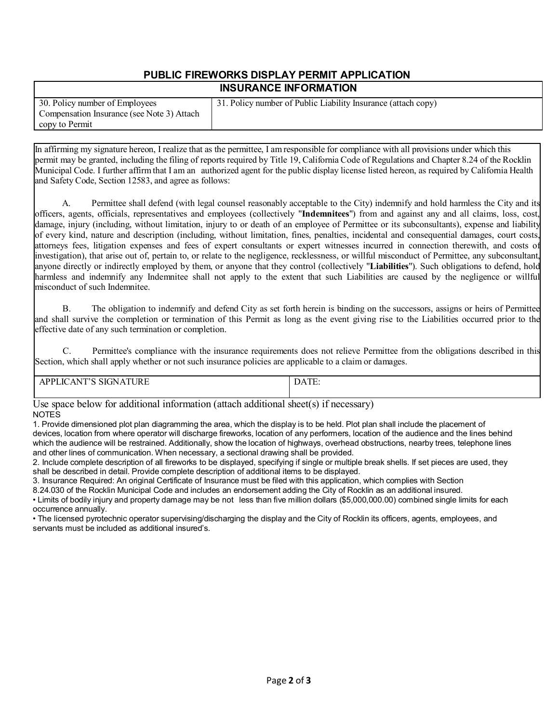#### **PUBLIC FIREWORKS DISPLAY PERMIT APPLICATION INSURANCE INFORMATION**

| 30. Policy number of Employees             |  |  |
|--------------------------------------------|--|--|
| Compensation Insurance (see Note 3) Attach |  |  |
| copy to Permit                             |  |  |

31. Policy number of Public Liability Insurance (attach copy)

In affirming my signature hereon, I realize that as the permittee, I amresponsible for compliance with all provisions under which this permit may be granted, including the filing of reports required by Title 19, California Code of Regulations and Chapter 8.24 of the Rocklin Municipal Code. I further affirmthat I am an authorized agent for the public display license listed hereon, as required by California Health and Safety Code, Section 12583, and agree as follows:

A. Permittee shall defend (with legal counsel reasonably acceptable to the City) indemnify and hold harmless the City and its officers, agents, officials, representatives and employees (collectively "**Indemnitees**") from and against any and all claims, loss, cost, damage, injury (including, without limitation, injury to or death of an employee of Permittee or its subconsultants), expense and liability of every kind, nature and description (including, without limitation, fines, penalties, incidental and consequential damages, court costs, attorneys fees, litigation expenses and fees of expert consultants or expert witnesses incurred in connection therewith, and costs of investigation), that arise out of, pertain to, or relate to the negligence, recklessness, or willful misconduct of Permittee, any subconsultant, anyone directly or indirectly employed by them, or anyone that they control (collectively "**Liabilities**"). Such obligations to defend, hold harmless and indemnify any Indemnitee shall not apply to the extent that such Liabilities are caused by the negligence or willful misconduct of such Indemnitee.

B. The obligation to indemnify and defend City as set forth herein is binding on the successors, assigns or heirs of Permittee and shall survive the completion or termination of this Permit as long as the event giving rise to the Liabilities occurred prior to the effective date of any such termination or completion.

C. Permittee's compliance with the insurance requirements does not relieve Permittee from the obligations described in this Section, which shall apply whether or not such insurance policies are applicable to a claim or damages.

| $\mathbf{m}$<br>$\sim$ $\sim$ $\sim$<br>$\sim$<br>ा(<br>N<br>и<br>$^{\prime}$<br>JK.<br>- 139 | $-$ |  |
|-----------------------------------------------------------------------------------------------|-----|--|
|                                                                                               |     |  |
|                                                                                               |     |  |
|                                                                                               |     |  |

Use space below for additional information (attach additional sheet(s) if necessary) NOTES

1. Provide dimensioned plot plan diagramming the area, which the display is to be held. Plot plan shall include the placement of devices, location from where operator will discharge fireworks, location of any performers, location of the audience and the lines behind which the audience will be restrained. Additionally, show the location of highways, overhead obstructions, nearby trees, telephone lines and other lines of communication. When necessary, a sectional drawing shall be provided.

2. Include complete description of all fireworks to be displayed, specifying if single or multiple break shells. If set pieces are used, they shall be described in detail. Provide complete description of additional items to be displayed.

3. Insurance Required: An original Certificate of Insurance must be filed with this application, which complies with Section

8.24.030 of the Rocklin Municipal Code and includes an endorsement adding the City of Rocklin as an additional insured.

• Limits of bodily injury and property damage may be not less than five million dollars (\$5,000,000.00) combined single limits for each occurrence annually.

• The licensed pyrotechnic operator supervising/discharging the display and the City of Rocklin its officers, agents, employees, and servants must be included as additional insured's.